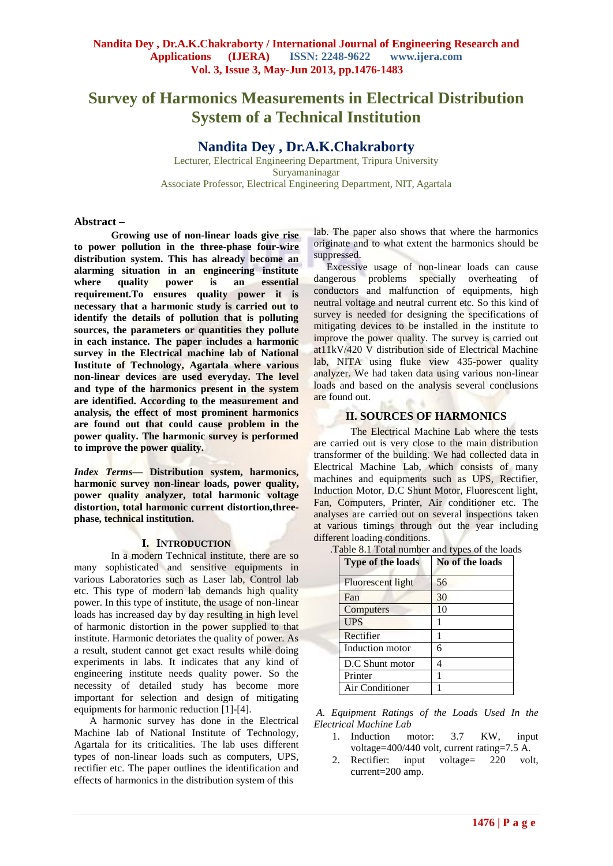# **Survey of Harmonics Measurements in Electrical Distribution System of a Technical Institution**

## **Nandita Dey , Dr.A.K.Chakraborty**

Lecturer, Electrical Engineering Department, Tripura University Suryamaninagar Associate Professor, Electrical Engineering Department, NIT, Agartala

#### **Abstract –**

**Growing use of non-linear loads give rise to power pollution in the three-phase four-wire distribution system. This has already become an alarming situation in an engineering institute where quality power is an essential requirement.To ensures quality power it is necessary that a harmonic study is carried out to identify the details of pollution that is polluting sources, the parameters or quantities they pollute in each instance. The paper includes a harmonic survey in the Electrical machine lab of National Institute of Technology, Agartala where various non-linear devices are used everyday. The level and type of the harmonics present in the system are identified. According to the measurement and analysis, the effect of most prominent harmonics are found out that could cause problem in the power quality. The harmonic survey is performed to improve the power quality.**

*Index Terms***— Distribution system, harmonics, harmonic survey non-linear loads, power quality, power quality analyzer, total harmonic voltage distortion, total harmonic current distortion,threephase, technical institution.**

#### **I. INTRODUCTION**

In a modern Technical institute, there are so many sophisticated and sensitive equipments in various Laboratories such as Laser lab, Control lab etc. This type of modern lab demands high quality power. In this type of institute, the usage of non-linear loads has increased day by day resulting in high level of harmonic distortion in the power supplied to that institute. Harmonic detoriates the quality of power. As a result, student cannot get exact results while doing experiments in labs. It indicates that any kind of engineering institute needs quality power. So the necessity of detailed study has become more important for selection and design of mitigating equipments for harmonic reduction [1]-[4].

 A harmonic survey has done in the Electrical Machine lab of National Institute of Technology, Agartala for its criticalities. The lab uses different types of non-linear loads such as computers, UPS, rectifier etc. The paper outlines the identification and effects of harmonics in the distribution system of this

lab. The paper also shows that where the harmonics originate and to what extent the harmonics should be suppressed.

 Excessive usage of non-linear loads can cause dangerous problems specially overheating of conductors and malfunction of equipments, high neutral voltage and neutral current etc. So this kind of survey is needed for designing the specifications of mitigating devices to be installed in the institute to improve the power quality. The survey is carried out at11kV/420 V distribution side of Electrical Machine lab, NITA using fluke view 435-power quality analyzer. We had taken data using various non-linear loads and based on the analysis several conclusions are found out.

## **II. SOURCES OF HARMONICS**

The Electrical Machine Lab where the tests are carried out is very close to the main distribution transformer of the building. We had collected data in Electrical Machine Lab, which consists of many machines and equipments such as UPS, Rectifier, Induction Motor, D.C Shunt Motor, Fluorescent light, Fan, Computers, Printer, Air conditioner etc. The analyses are carried out on several inspections taken at various timings through out the year including different loading conditions.

.Table 8.1 Total number and types of the loads

| Type of the loads | No of the loads |
|-------------------|-----------------|
| Fluorescent light | 56              |
| Fan               | 30              |
| Computers         | 10              |
| <b>UPS</b>        |                 |
| Rectifier         | 1               |
| Induction motor   | 6               |
| D.C Shunt motor   |                 |
| Printer           |                 |
| Air Conditioner   |                 |

*A*. *Equipment Ratings of the Loads Used In the Electrical Machine Lab*

- 1. Induction motor: 3.7 KW, input voltage=400/440 volt, current rating=7.5 A.
- 2. Rectifier: input voltage= 220 volt, current=200 amp.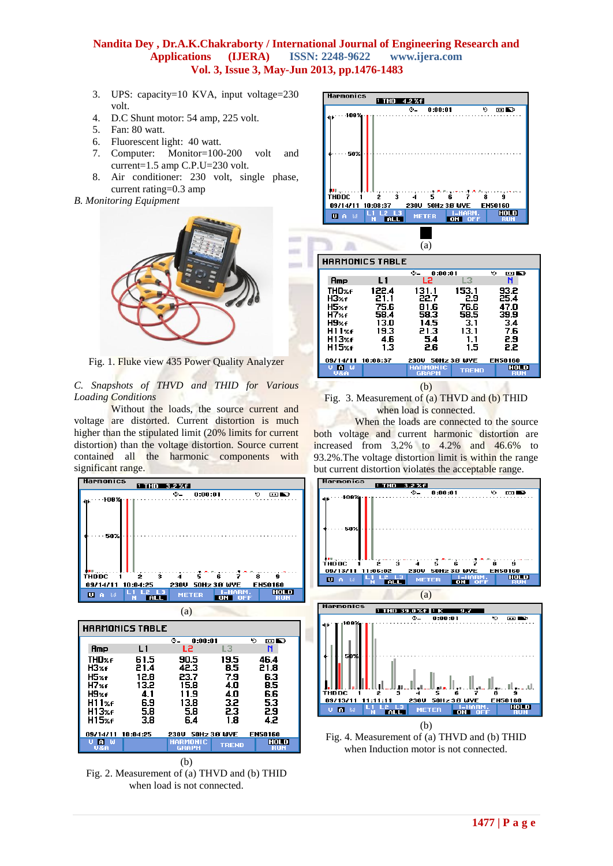in a

- 3. UPS: capacity=10 KVA, input voltage=230 volt.
- 4. D.C Shunt motor: 54 amp, 225 volt.
- 5. Fan: 80 watt.
- 6. Fluorescent light: 40 watt.
- 7. Computer: Monitor=100-200 volt and current=1.5 amp C.P.U=230 volt.
- 8. Air conditioner: 230 volt, single phase, current rating=0.3 amp

## *B. Monitoring Equipment*



Fig. 1. Fluke view 435 Power Quality Analyzer

#### *C. Snapshots of THVD and THID for Various Loading Conditions*

Without the loads, the source current and voltage are distorted. Current distortion is much higher than the stipulated limit (20% limits for current distortion) than the voltage distortion. Source current contained all the harmonic components with significant range.





(b)

Fig. 2. Measurement of (a) THVD and (b) THID when load is not connected.



|                                                                         |                                                             | (a)                                                         |                                                           |                                                          |
|-------------------------------------------------------------------------|-------------------------------------------------------------|-------------------------------------------------------------|-----------------------------------------------------------|----------------------------------------------------------|
|                                                                         | <b>HARMONICS TABLE</b>                                      |                                                             |                                                           |                                                          |
|                                                                         |                                                             | ு—்<br>0:00:01                                              |                                                           | ю<br>œN                                                  |
| Amp                                                                     | L1                                                          | L2                                                          | L3                                                        | N                                                        |
| <b>THD%f</b><br>H3%f<br>H5%f<br>H7xf<br>H9xf<br>H11xf<br>H13%f<br>H15%f | 122.4<br>21.1<br>75.6<br>58.4<br>13.0<br>19.3<br>4.6<br>1.3 | 131.1<br>22.7<br>81.6<br>58.3<br>14.5<br>21.3<br>5.4<br>2.6 | 153.1<br>2.9<br>76.6<br>58.5<br>3.1<br>13.1<br>1.1<br>1.5 | 93.2<br>25.4<br>47.0<br>39.9<br>3.4<br>7.6<br>2.9<br>2.2 |
| 09/14/11                                                                | 10:08:37                                                    | 230V                                                        | 50Hz 3.8 WYE                                              | EN50160                                                  |
| <b>PO</b> M<br><b>U&amp;A</b>                                           |                                                             | <b>HARMONIC</b><br><b>GRAPH</b>                             | <b>TREND</b>                                              | <b>HOLD</b><br><b>RUN</b>                                |
|                                                                         |                                                             | (b)                                                         |                                                           |                                                          |

Fig. 3. Measurement of (a) THVD and (b) THID when load is connected.

When the loads are connected to the source both voltage and current harmonic distortion are increased from 3.2% to 4.2% and 46.6% to 93.2%.The voltage distortion limit is within the range but current distortion violates the acceptable range.



when Induction motor is not connected.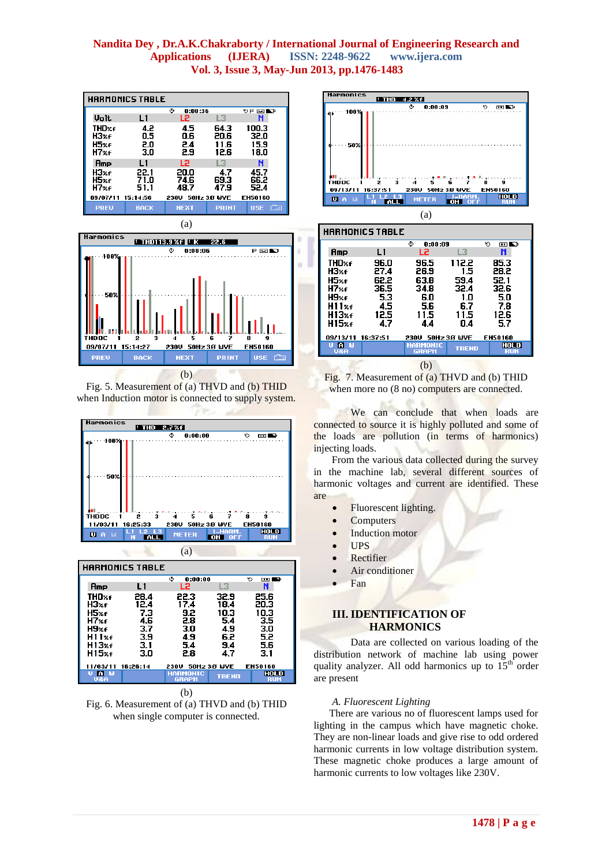| HARMONICS TABLE |              |              |                |                              |  |
|-----------------|--------------|--------------|----------------|------------------------------|--|
|                 |              | ٥<br>0:00:36 |                | ৩¤ ভা⊾৮                      |  |
| <b>Volt</b>     | L1           | L2           | L3             | N                            |  |
| THD%f<br>H3%f   | 4.2<br>0.5   | 4.5<br>0.6   | 64.3<br>20.6   | 100.3<br>32.0                |  |
| H5%f<br>H7xf    | 2.0<br>3.0   | 2.4<br>2.9   | 11.6<br>12 G   | 15.9<br>18.0                 |  |
| Amp             | L1           | L2           | L <sub>3</sub> | N                            |  |
| НЗжғ<br>H5%f    | 22.1<br>71.0 | 20.0<br>74.6 | 4.7<br>69.3    | 45.7<br>66.2                 |  |
| H7xf            | 51.1         | 48.7         | 47.9           | 52.4                         |  |
| 09/07/11        | 15:14:56     | 230U         | 50Hz 3.8 WYE   | EN50160                      |  |
| <b>PREU</b>     | <b>BACK</b>  | <b>NEXT</b>  | <b>PRINT</b>   | <b>Company</b><br><b>USE</b> |  |



Fig. 5. Measurement of (a) THVD and (b) THID when Induction motor is connected to supply system.



| U&A               |     | <b>GRAPH</b>      | <b>TREND</b> | <b>RUN</b>  |
|-------------------|-----|-------------------|--------------|-------------|
| n w<br>υ          |     | <b>HARMONIC</b>   |              | <b>HOLD</b> |
| 11/03/11 16:26:14 |     | 230U 50Hz 3.8 WYE |              | EN50160     |
| H15%f             | 3.0 | 2.8               | 4.7          | 3.1         |
| H13%f             | 3.1 | 5.4               | 9.4          | 5.6         |
| H11xf             | 3.9 | 4.9               | 6.2          | 5.2         |
| H9%f              | 3.7 | 3.0               | 4.9          | 3.0         |
| H7%f              | 4.6 | 2.8               | 5.4          | 3.5         |
| H5%f              | 7.3 | 92                | 10.3         | 10.3        |

(b)

Fig. 6. Measurement of (a) THVD and (b) THID when single computer is connected.



| <b>HARMONICS TABLE</b>                                                               |                                                           |                                                          |                                                           |                                                           |  |
|--------------------------------------------------------------------------------------|-----------------------------------------------------------|----------------------------------------------------------|-----------------------------------------------------------|-----------------------------------------------------------|--|
|                                                                                      |                                                           | ۰<br>0:00:09                                             |                                                           | ৩<br>画面                                                   |  |
| Amp                                                                                  | L1                                                        | L2                                                       | L3                                                        | N                                                         |  |
| THD%f<br>H3%f<br>H5%f<br>H7%f<br>H9%f<br>H11 <sub>%f</sub><br>H13%f<br><b>H15</b> %f | 96.0<br>27.4<br>62.2<br>36.5<br>5.3<br>4.5<br>12.5<br>4.7 | 96.5<br>26.9<br>63.8<br>34.8<br>6.0<br>5.6<br>11.5<br>44 | 112.2<br>1.5<br>59.4<br>32.4<br>1.0<br>6.7<br>11.5<br>0.4 | 85.3<br>28.2<br>52.1<br>32.6<br>5.0<br>7.8<br>12.6<br>5.7 |  |
|                                                                                      |                                                           |                                                          |                                                           |                                                           |  |
| 09/13/11                                                                             | 16:37:51                                                  | 230U                                                     | 50Hz 3.8 WYE                                              | <b>EN50160</b>                                            |  |
| <b>A</b> W<br><b>U&amp;A</b>                                                         |                                                           | HARMONIC<br><b>GRAPH</b>                                 | <b>TREND</b>                                              | <b>HOLD</b><br><b>RUN</b>                                 |  |
|                                                                                      |                                                           | (b)                                                      |                                                           |                                                           |  |

Fig. 7. Measurement of (a) THVD and (b) THID when more no  $(8 \text{ no})$  computers are connected.

We can conclude that when loads are connected to source it is highly polluted and some of the loads are pollution (in terms of harmonics) injecting loads.

 From the various data collected during the survey in the machine lab, several different sources of harmonic voltages and current are identified. These are

- Fluorescent lighting.
- **Computers**
- Induction motor
- UPS
	- Rectifier
- Air conditioner
- Fan

## **III. IDENTIFICATION OF HARMONICS**

 Data are collected on various loading of the distribution network of machine lab using power quality analyzer. All odd harmonics up to  $15<sup>th</sup>$  order are present

## *A. Fluorescent Lighting*

 There are various no of fluorescent lamps used for lighting in the campus which have magnetic choke. They are non-linear loads and give rise to odd ordered harmonic currents in low voltage distribution system. These magnetic choke produces a large amount of harmonic currents to low voltages like 230V.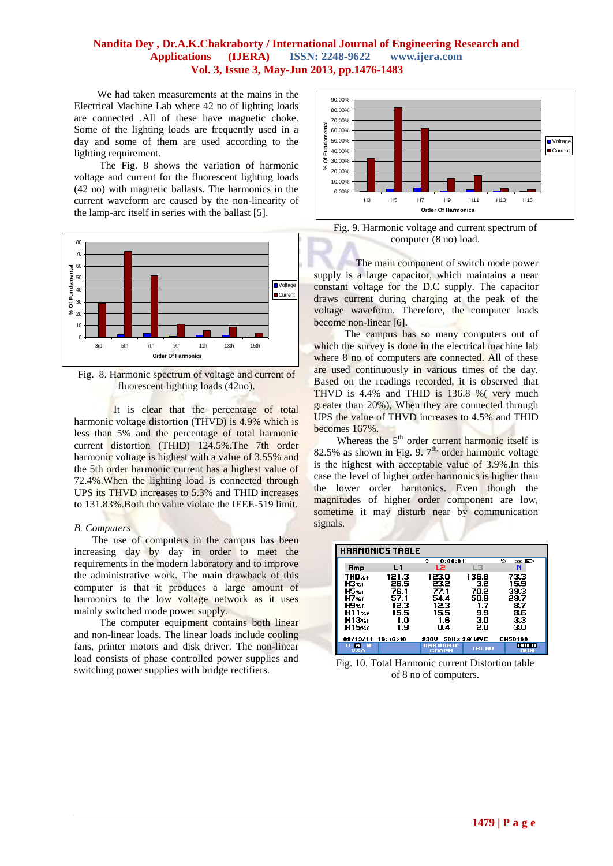l

 We had taken measurements at the mains in the Electrical Machine Lab where 42 no of lighting loads are connected .All of these have magnetic choke. Some of the lighting loads are frequently used in a day and some of them are used according to the lighting requirement.

 The Fig. 8 shows the variation of harmonic voltage and current for the fluorescent lighting loads (42 no) with magnetic ballasts. The harmonics in the current waveform are caused by the non-linearity of the lamp-arc itself in series with the ballast [5].



Fig. 8. Harmonic spectrum of voltage and current of fluorescent lighting loads (42no).

It is clear that the percentage of total harmonic voltage distortion (THVD) is 4.9% which is less than 5% and the percentage of total harmonic current distortion (THID) 124.5%.The 7th order harmonic voltage is highest with a value of 3.55% and the 5th order harmonic current has a highest value of 72.4%.When the lighting load is connected through UPS its THVD increases to 5.3% and THID increases to 131.83%.Both the value violate the IEEE-519 limit.

#### *B. Computers*

 The use of computers in the campus has been increasing day by day in order to meet the requirements in the modern laboratory and to improve the administrative work. The main drawback of this computer is that it produces a large amount of harmonics to the low voltage network as it uses mainly switched mode power supply.

 The computer equipment contains both linear and non-linear loads. The linear loads include cooling fans, printer motors and disk driver. The non-linear load consists of phase controlled power supplies and switching power supplies with bridge rectifiers.



Fig. 9. Harmonic voltage and current spectrum of computer (8 no) load.

 The main component of switch mode power supply is a large capacitor, which maintains a near constant voltage for the D.C supply. The capacitor draws current during charging at the peak of the voltage waveform. Therefore, the computer loads become non-linear [6].

 The campus has so many computers out of which the survey is done in the electrical machine lab where 8 no of computers are connected. All of these are used continuously in various times of the day. Based on the readings recorded, it is observed that THVD is 4.4% and THID is 136.8 %( very much greater than 20%), When they are connected through UPS the value of THVD increases to 4.5% and THID becomes 167%.

Whereas the  $5<sup>th</sup>$  order current harmonic itself is 82.5% as shown in Fig. 9. 7<sup>th,</sup> order harmonic voltage is the highest with acceptable value of 3.9%.In this case the level of higher order harmonics is higher than the lower order harmonics. Even though the magnitudes of higher order component are low, sometime it may disturb near by communication signals.

| <b>HARMONICS TABLE</b> |               |                                 |                    |                    |  |
|------------------------|---------------|---------------------------------|--------------------|--------------------|--|
|                        |               | ٠<br>0:00:01                    |                    | ь<br>œN            |  |
| Amp                    | L1            | L2                              | L3                 | N                  |  |
| THD%f<br>H3xf          | 121.3<br>26.5 | 123.0<br>23.2                   | 136.8<br>3.2       | 73.3<br>15.9       |  |
| H5%f<br>H7%f           | 76.1<br>57.1  | 77.1<br>54.4                    | 70.2<br>50.8       | 39.3<br>29.7       |  |
| H9xe                   | 12.3          | 12.3                            | 1.7                | 8.7                |  |
| H11xf<br>H13x6         | 15.5<br>1.0   | 15.5<br>1.6                     | 9.9<br>3.0         | 8.6<br>3.3         |  |
| H15 <sub>%f</sub>      | 1.9           | n 4                             | 20                 | 30                 |  |
| 09/13/11               | 16:46:40      | 230U                            | <b>50Hz 38 WYE</b> | EN50160            |  |
| in w<br>บ&ค            |               | <b>HARMONIC</b><br><b>GRAPH</b> | <b>TREND</b>       | HOLD<br><b>RUN</b> |  |

Fig. 10. Total Harmonic current Distortion table of 8 no of computers.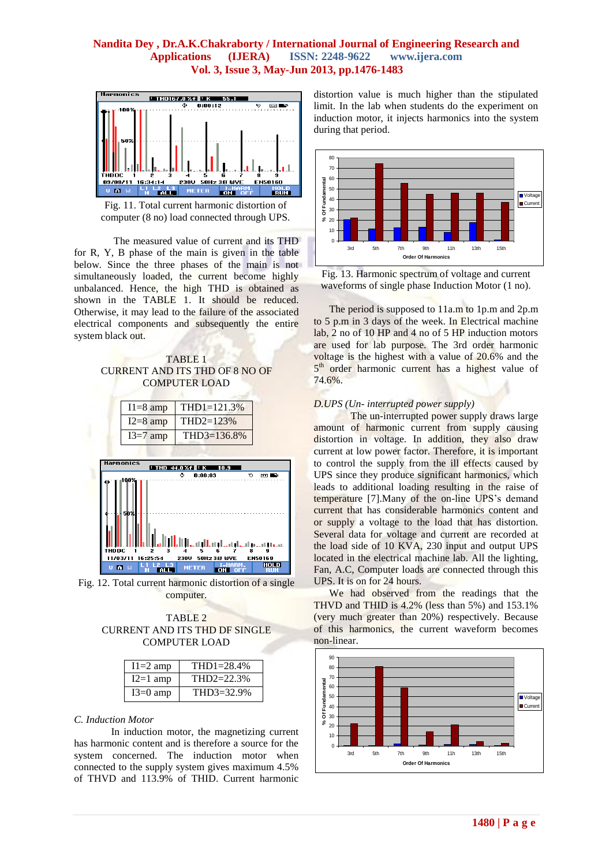

Fig. 11. Total current harmonic distortion of computer (8 no) load connected through UPS.

The measured value of current and its THD for R, Y, B phase of the main is given in the table below. Since the three phases of the main is not simultaneously loaded, the current become highly unbalanced. Hence, the high THD is obtained as shown in the TABLE 1. It should be reduced. Otherwise, it may lead to the failure of the associated electrical components and subsequently the entire system black out.





Fig. 12. Total current harmonic distortion of a single computer.



| $I1=2$ amp | $THD1 = 28.4%$ |
|------------|----------------|
| $I2=1$ amp | $THD2 = 22.3%$ |
| $I3=0$ amp | $THD3 = 32.9%$ |

#### *C. Induction Motor*

In induction motor, the magnetizing current has harmonic content and is therefore a source for the system concerned. The induction motor when connected to the supply system gives maximum 4.5% of THVD and 113.9% of THID. Current harmonic

distortion value is much higher than the stipulated limit. In the lab when students do the experiment on induction motor, it injects harmonics into the system during that period.



Fig. 13. Harmonic spectrum of voltage and current waveforms of single phase Induction Motor (1 no).

 The period is supposed to 11a.m to 1p.m and 2p.m to 5 p.m in 3 days of the week. In Electrical machine lab, 2 no of 10 HP and 4 no of 5 HP induction motors are used for lab purpose. The 3rd order harmonic voltage is the highest with a value of 20.6% and the 5<sup>th</sup> order harmonic current has a highest value of 74.6%.

#### *D.UPS (Un- interrupted power supply)*

The un-interrupted power supply draws large amount of harmonic current from supply causing distortion in voltage. In addition, they also draw current at low power factor. Therefore, it is important to control the supply from the ill effects caused by UPS since they produce significant harmonics, which leads to additional loading resulting in the raise of temperature [7].Many of the on-line UPS's demand current that has considerable harmonics content and or supply a voltage to the load that has distortion. Several data for voltage and current are recorded at the load side of 10 KVA, 230 input and output UPS located in the electrical machine lab. All the lighting, Fan, A.C, Computer loads are connected through this UPS. It is on for 24 hours.

 We had observed from the readings that the THVD and THID is 4.2% (less than 5%) and 153.1% (very much greater than 20%) respectively. Because of this harmonics, the current waveform becomes non-linear.

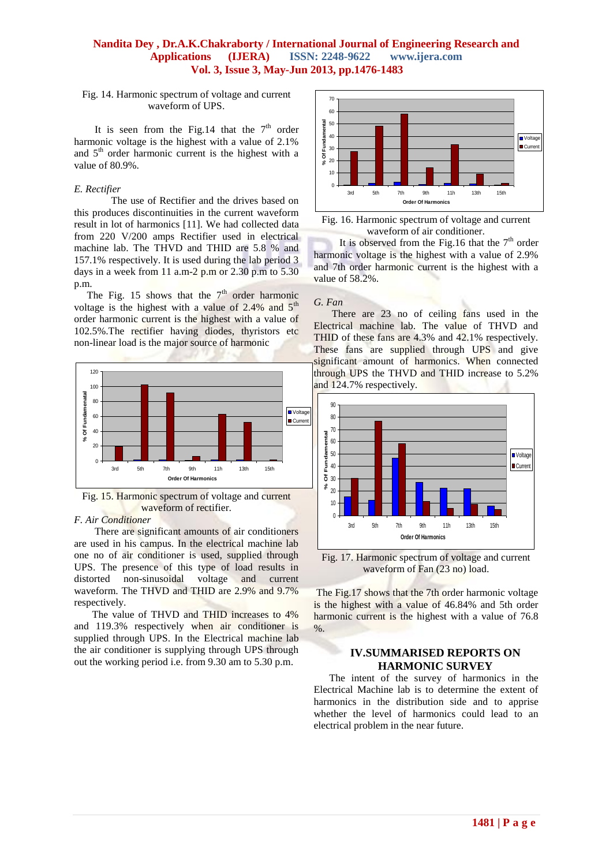Fig. 14. Harmonic spectrum of voltage and current waveform of UPS.

It is seen from the Fig.14 that the  $7<sup>th</sup>$  order harmonic voltage is the highest with a value of 2.1% and  $5<sup>th</sup>$  order harmonic current is the highest with a value of 80.9%.

#### *E. Rectifier*

The use of Rectifier and the drives based on this produces discontinuities in the current waveform result in lot of harmonics [11]. We had collected data from 220 V/200 amps Rectifier used in electrical machine lab. The THVD and THID are 5.8 % and 157.1% respectively. It is used during the lab period 3 days in a week from 11 a.m-2  $p.m$  or 2.30  $p.m$  to 5.30 p.m.

The Fig. 15 shows that the  $7<sup>th</sup>$  order harmonic voltage is the highest with a value of  $2.4\%$  and  $5<sup>th</sup>$ order harmonic current is the highest with a value of 102.5%.The rectifier having diodes, thyristors etc non-linear load is the major source of harmonic



Fig. 15. Harmonic spectrum of voltage and current waveform of rectifier.

#### *F. Air Conditioner*

 There are significant amounts of air conditioners are used in his campus. In the electrical machine lab one no of air conditioner is used, supplied through UPS. The presence of this type of load results in distorted non-sinusoidal voltage and current waveform. The THVD and THID are 2.9% and 9.7% respectively.

 The value of THVD and THID increases to 4% and 119.3% respectively when air conditioner is supplied through UPS. In the Electrical machine lab the air conditioner is supplying through UPS through out the working period i.e. from 9.30 am to 5.30 p.m.





It is observed from the Fig.16 that the  $7<sup>th</sup>$  order harmonic voltage is the highest with a value of 2.9% and 7th order harmonic current is the highest with a value of 58.2%.

#### *G. Fan*

There are 23 no of ceiling fans used in the Electrical machine lab. The value of THVD and THID of these fans are 4.3% and 42.1% respectively. These fans are supplied through UPS and give significant amount of harmonics. When connected through UPS the THVD and THID increase to 5.2% and 124.7% respectively.



Fig. 17. Harmonic spectrum of voltage and current waveform of Fan (23 no) load.

The Fig.17 shows that the 7th order harmonic voltage is the highest with a value of 46.84% and 5th order harmonic current is the highest with a value of 76.8 %.

#### **IV.SUMMARISED REPORTS ON HARMONIC SURVEY**

 The intent of the survey of harmonics in the Electrical Machine lab is to determine the extent of harmonics in the distribution side and to apprise whether the level of harmonics could lead to an electrical problem in the near future.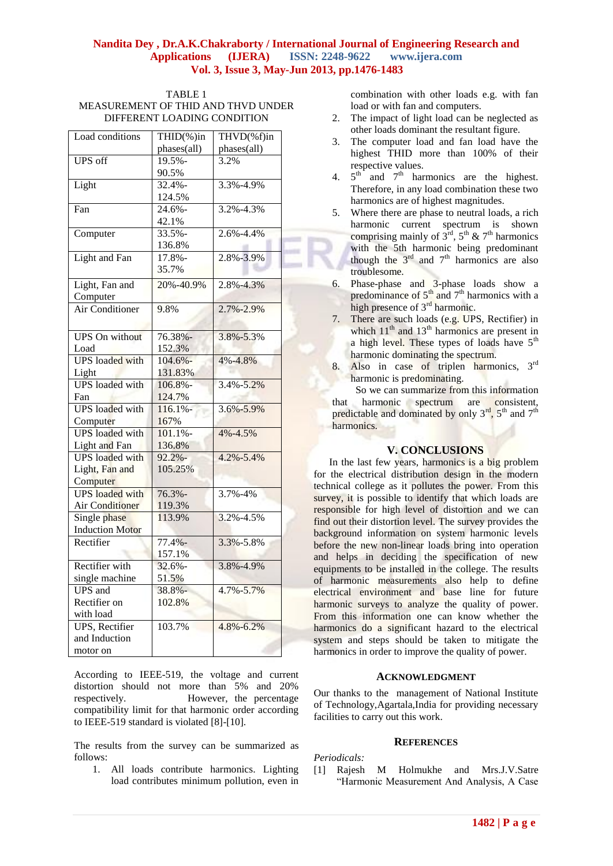| TABLE 1                            |
|------------------------------------|
| MEASUREMENT OF THID AND THVD UNDER |
| DIFFERENT LOADING CONDITION        |

| Load conditions        | THID(%)in   | THVD(%f)in      |  |
|------------------------|-------------|-----------------|--|
|                        | phases(all) | phases(all)     |  |
| <b>UPS</b> off         | 19.5%-      | 3.2%            |  |
|                        | 90.5%       |                 |  |
| Light                  | $32.4% -$   | 3.3%-4.9%       |  |
|                        | 124.5%      |                 |  |
| Fan                    | 24.6%-      | 3.2%-4.3%       |  |
|                        | 42.1%       |                 |  |
| Computer               | 33.5%-      | 2.6%-4.4%       |  |
|                        | 136.8%      |                 |  |
| Light and Fan          | 17.8%-      | 2.8%-3.9%       |  |
|                        | 35.7%       |                 |  |
|                        |             |                 |  |
| Light, Fan and         | 20%-40.9%   | 2.8%-4.3%       |  |
| Computer               |             |                 |  |
| Air Conditioner        | 9.8%        | 2.7%-2.9%       |  |
|                        |             |                 |  |
| <b>UPS</b> On without  | 76.38%-     | 3.8%-5.3%       |  |
| Load                   | 152.3%      |                 |  |
| <b>UPS</b> loaded with | $104.6% -$  | 4%-4.8%         |  |
| Light                  | 131.83%     |                 |  |
| <b>UPS</b> loaded with | 106.8%-     | 3.4%-5.2%       |  |
| Fan                    | 124.7%      |                 |  |
| <b>UPS</b> loaded with | $116.1% -$  | $3.6\% - 5.9\%$ |  |
| Computer               | 167%        |                 |  |
| <b>UPS</b> loaded with | 101.1%      | 4%-4.5%         |  |
| <b>Light and Fan</b>   | 136.8%      |                 |  |
| <b>UPS</b> loaded with | $92.2% -$   | $4.2\% - 5.4\%$ |  |
| Light, Fan and         | 105.25%     |                 |  |
| Computer               |             |                 |  |
| <b>UPS</b> loaded with | 76.3%-      | 3.7%-4%         |  |
| <b>Air Conditioner</b> | 119.3%      |                 |  |
| Single phase           | 113.9%      | 3.2%-4.5%       |  |
| <b>Induction Motor</b> |             |                 |  |
| Rectifier              | $77.4% -$   | 3.3%-5.8%       |  |
|                        | 157.1%      |                 |  |
| Rectifier with         | $32.6% -$   | 3.8%-4.9%       |  |
| single machine         | 51.5%       |                 |  |
| <b>UPS</b> and         | 38.8%-      | 4.7%-5.7%       |  |
| Rectifier on           | 102.8%      |                 |  |
| with load              |             |                 |  |
| <b>UPS</b> , Rectifier | 103.7%      | 4.8%-6.2%       |  |
| and Induction          |             |                 |  |
| motor on               |             |                 |  |

According to IEEE-519, the voltage and current distortion should not more than 5% and 20% respectively. However, the percentage compatibility limit for that harmonic order according to IEEE-519 standard is violated [8]-[10].

The results from the survey can be summarized as follows:

1. All loads contribute harmonics. Lighting load contributes minimum pollution, even in

combination with other loads e.g. with fan load or with fan and computers.

- 2. The impact of light load can be neglected as other loads dominant the resultant figure.
- 3. The computer load and fan load have the highest THID more than 100% of their respective values.
- 4.  $5<sup>th</sup>$  and  $7<sup>th</sup>$  harmonics are the highest. Therefore, in any load combination these two harmonics are of highest magnitudes.
- 5. Where there are phase to neutral loads, a rich harmonic current spectrum is shown comprising mainly of  $3^{\text{rd}}$ ,  $5^{\text{th}}$  &  $7^{\text{th}}$  harmonics with the 5th harmonic being predominant though the  $3<sup>rd</sup>$  and  $7<sup>th</sup>$  harmonics are also troublesome.
- 6. Phase-phase and 3-phase loads show a predominance of  $5<sup>th</sup>$  and  $7<sup>th</sup>$  harmonics with a high presence of 3<sup>rd</sup> harmonic.
- 7. There are such loads (e.g. UPS, Rectifier) in which  $11<sup>th</sup>$  and  $13<sup>th</sup>$  harmonics are present in a high level. These types of loads have  $5<sup>th</sup>$ harmonic dominating the spectrum.
- 8. Also in case of triplen harmonics, 3rd harmonic is predominating.

 So we can summarize from this information that harmonic spectrum are consistent, predictable and dominated by only  $3^{rd}$ ,  $5^{th}$  and  $7^{th}$ harmonics.

## **V. CONCLUSIONS**

 In the last few years, harmonics is a big problem for the electrical distribution design in the modern technical college as it pollutes the power. From this survey, it is possible to identify that which loads are responsible for high level of distortion and we can find out their distortion level. The survey provides the background information on system harmonic levels before the new non-linear loads bring into operation and helps in deciding the specification of new equipments to be installed in the college. The results of harmonic measurements also help to define electrical environment and base line for future harmonic surveys to analyze the quality of power. From this information one can know whether the harmonics do a significant hazard to the electrical system and steps should be taken to mitigate the harmonics in order to improve the quality of power.

## **ACKNOWLEDGMENT**

Our thanks to the management of National Institute of Technology,Agartala,India for providing necessary facilities to carry out this work.

#### **REFERENCES**

*Periodicals:*

[1] Rajesh M Holmukhe and Mrs.J.V.Satre "Harmonic Measurement And Analysis, A Case